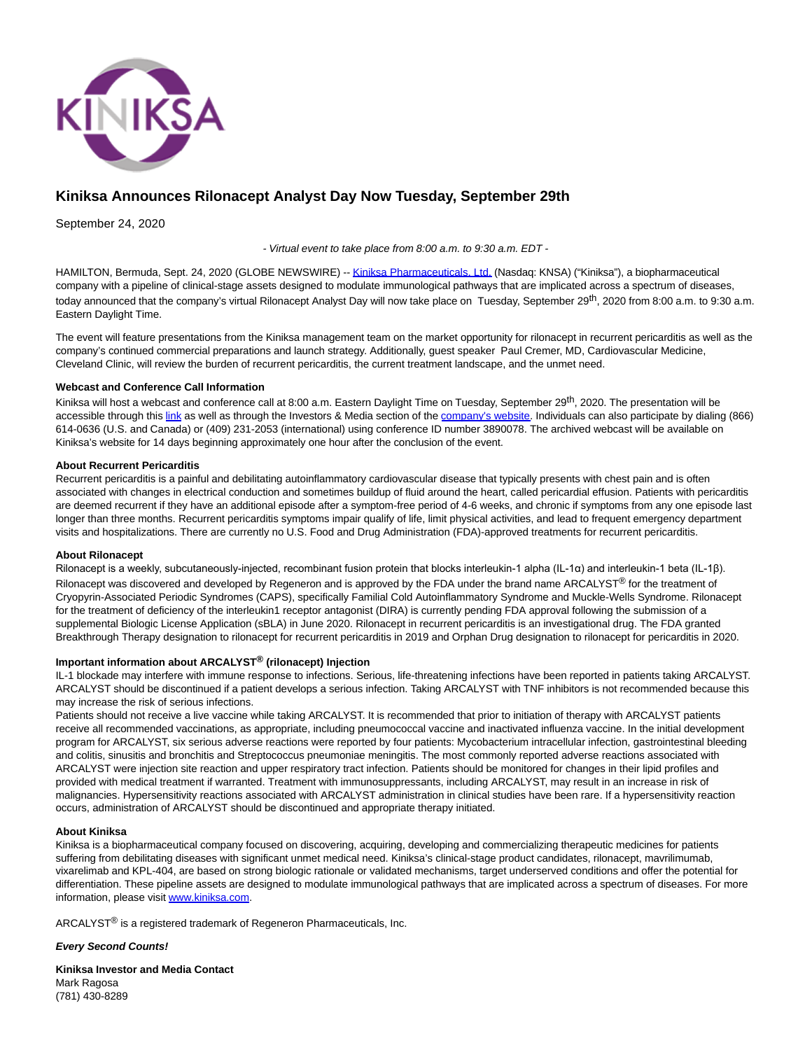

# **Kiniksa Announces Rilonacept Analyst Day Now Tuesday, September 29th**

September 24, 2020

- Virtual event to take place from 8:00 a.m. to 9:30 a.m. EDT -

HAMILTON, Bermuda, Sept. 24, 2020 (GLOBE NEWSWIRE) -[- Kiniksa Pharmaceuticals, Ltd. \(](https://www.globenewswire.com/Tracker?data=Q54wnrdz02p2r4zGMexHdMfnKBZ8hkXzK3rZnErXI02IdRtZ7T67nZrml6JuSTr72YSIMkZpIi0aHuVv5Jx64ISPl-tBVUOzmWzgf1an8bM=)Nasdaq: KNSA) ("Kiniksa"), a biopharmaceutical company with a pipeline of clinical-stage assets designed to modulate immunological pathways that are implicated across a spectrum of diseases, today announced that the company's virtual Rilonacept Analyst Day will now take place on Tuesday, September 29<sup>th</sup>, 2020 from 8:00 a.m. to 9:30 a.m. Eastern Daylight Time.

The event will feature presentations from the Kiniksa management team on the market opportunity for rilonacept in recurrent pericarditis as well as the company's continued commercial preparations and launch strategy. Additionally, guest speaker Paul Cremer, MD, Cardiovascular Medicine, Cleveland Clinic, will review the burden of recurrent pericarditis, the current treatment landscape, and the unmet need.

## **Webcast and Conference Call Information**

Kiniksa will host a webcast and conference call at 8:00 a.m. Eastern Daylight Time on Tuesday, September 29<sup>th</sup>, 2020. The presentation will be accessible through this [link a](https://www.globenewswire.com/Tracker?data=cHk7XZ9T938hIlKrQusP7aEAA_BoZ_r4mX8FOqiXdqJ9VSowy2kCkaCn-AyTrdGQUzOJTF2KcJ-2NCJy-LWJIRhnfajVD_rnpD_tsRG7KZw=)s well as through the Investors & Media section of the [company's website.](https://www.globenewswire.com/Tracker?data=qGTErty2FIrEKWcHALK39wy6cxXuCJYySncj7_L5Sc61Mr0i204Yjp-IViEqgIeXmDvQ4oWtO-YRujFOGjGPlQ==) Individuals can also participate by dialing (866) 614-0636 (U.S. and Canada) or (409) 231-2053 (international) using conference ID number 3890078. The archived webcast will be available on Kiniksa's website for 14 days beginning approximately one hour after the conclusion of the event.

## **About Recurrent Pericarditis**

Recurrent pericarditis is a painful and debilitating autoinflammatory cardiovascular disease that typically presents with chest pain and is often associated with changes in electrical conduction and sometimes buildup of fluid around the heart, called pericardial effusion. Patients with pericarditis are deemed recurrent if they have an additional episode after a symptom-free period of 4-6 weeks, and chronic if symptoms from any one episode last longer than three months. Recurrent pericarditis symptoms impair qualify of life, limit physical activities, and lead to frequent emergency department visits and hospitalizations. There are currently no U.S. Food and Drug Administration (FDA)-approved treatments for recurrent pericarditis.

## **About Rilonacept**

Rilonacept is a weekly, subcutaneously-injected, recombinant fusion protein that blocks interleukin-1 alpha (IL-1α) and interleukin-1 beta (IL-1β). Rilonacept was discovered and developed by Regeneron and is approved by the FDA under the brand name ARCALYST® for the treatment of Cryopyrin-Associated Periodic Syndromes (CAPS), specifically Familial Cold Autoinflammatory Syndrome and Muckle-Wells Syndrome. Rilonacept for the treatment of deficiency of the interleukin1 receptor antagonist (DIRA) is currently pending FDA approval following the submission of a supplemental Biologic License Application (sBLA) in June 2020. Rilonacept in recurrent pericarditis is an investigational drug. The FDA granted Breakthrough Therapy designation to rilonacept for recurrent pericarditis in 2019 and Orphan Drug designation to rilonacept for pericarditis in 2020.

## **Important information about ARCALYST® (rilonacept) Injection**

IL-1 blockade may interfere with immune response to infections. Serious, life-threatening infections have been reported in patients taking ARCALYST. ARCALYST should be discontinued if a patient develops a serious infection. Taking ARCALYST with TNF inhibitors is not recommended because this may increase the risk of serious infections.

Patients should not receive a live vaccine while taking ARCALYST. It is recommended that prior to initiation of therapy with ARCALYST patients receive all recommended vaccinations, as appropriate, including pneumococcal vaccine and inactivated influenza vaccine. In the initial development program for ARCALYST, six serious adverse reactions were reported by four patients: Mycobacterium intracellular infection, gastrointestinal bleeding and colitis, sinusitis and bronchitis and Streptococcus pneumoniae meningitis. The most commonly reported adverse reactions associated with ARCALYST were injection site reaction and upper respiratory tract infection. Patients should be monitored for changes in their lipid profiles and provided with medical treatment if warranted. Treatment with immunosuppressants, including ARCALYST, may result in an increase in risk of malignancies. Hypersensitivity reactions associated with ARCALYST administration in clinical studies have been rare. If a hypersensitivity reaction occurs, administration of ARCALYST should be discontinued and appropriate therapy initiated.

## **About Kiniksa**

Kiniksa is a biopharmaceutical company focused on discovering, acquiring, developing and commercializing therapeutic medicines for patients suffering from debilitating diseases with significant unmet medical need. Kiniksa's clinical-stage product candidates, rilonacept, mavrilimumab, vixarelimab and KPL-404, are based on strong biologic rationale or validated mechanisms, target underserved conditions and offer the potential for differentiation. These pipeline assets are designed to modulate immunological pathways that are implicated across a spectrum of diseases. For more information, please visi[t www.kiniksa.com.](https://www.globenewswire.com/Tracker?data=c8ajqnvo1LzPbNx59JOClQH1BHeiyQupYyGaGXvbHn_2lXtT2WplKWOPx7FTTIKuBBwn1yJsDxYK_GIyowPyNA==)

ARCALYST® is a registered trademark of Regeneron Pharmaceuticals, Inc.

**Every Second Counts!**

**Kiniksa Investor and Media Contact** Mark Ragosa (781) 430-8289